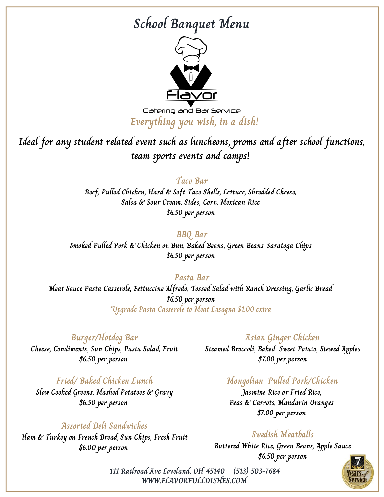# **School Banquet Menu**



Catering and Bar Service **Everything you wish, in a dish!**

**Ideal for any student related event such as luncheons, proms and after school functions, team sports events and camps!**

### **Taco Bar**

**Beef, Pulled Chicken, Hard & Soft Taco Shells, Lettuce, Shredded Cheese, Salsa & Sour Cream. Sides, Corn, Mexican Rice \$6.50 per person**

### **BBQ Bar**

**Smoked Pulled Pork & Chicken on Bun, Baked Beans, Green Beans, Saratoga Chips \$6.50 per person**

### **Pasta Bar**

**Meat Sauce Pasta Casserole, Fettuccine Alfredo, Tossed Salad with Ranch Dressing, Garlic Bread \$6.50 per person \*Upgrade Pasta Casserole to Meat Lasagna \$1.00 extra**

## **Burger/Hotdog Bar**

**Cheese, Condiments, Sun Chips, Pasta Salad, Fruit \$6.50 per person**

## **Fried/ Baked Chicken Lunch**

**Slow Cooked Greens, Mashed Potatoes & Gravy \$6.50 per person**

## **Assorted Deli Sandwiches**

**Ham & Turkey on French Bread, Sun Chips, Fresh Fruit \$6.00 per person**

### **Asian Ginger Chicken**

**Steamed Broccoli, Baked Sweet Potato, Stewed Apples \$7.00 per person**

## **Mongolian Pulled Pork/Chicken**

**Jasmine Rice or Fried Rice, Peas & Carrots, Mandarin Oranges \$7.00 per person**

## **Swedish Meatballs**

**Buttered White Rice, Green Beans, Apple Sauce \$6.50 per person**

**WWW.FLAVORFULLDISHES.COM 111 Railroad Ave Loveland, OH 45140 (513) 503-7684**